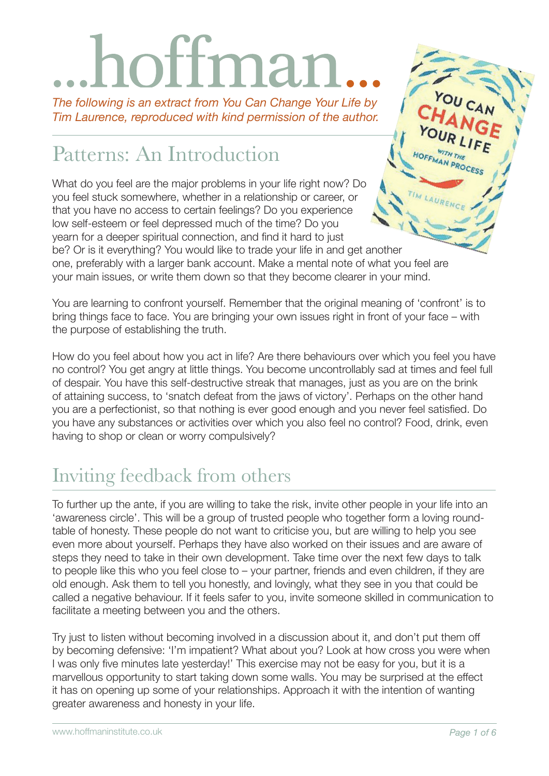# mar

*The following is an extract from You Can Change Your Life by Tim Laurence, reproduced with kind permission of the author.*

# Patterns: An Introduction

What do you feel are the major problems in your life right now? Do you feel stuck somewhere, whether in a relationship or career, or that you have no access to certain feelings? Do you experience low self-esteem or feel depressed much of the time? Do you yearn for a deeper spiritual connection, and find it hard to just be? Or is it everything? You would like to trade your life in and get another one, preferably with a larger bank account. Make a mental note of what you feel are

your main issues, or write them down so that they become clearer in your mind.

You are learning to confront yourself. Remember that the original meaning of 'confront' is to bring things face to face. You are bringing your own issues right in front of your face – with the purpose of establishing the truth.

How do you feel about how you act in life? Are there behaviours over which you feel you have no control? You get angry at little things. You become uncontrollably sad at times and feel full of despair. You have this self-destructive streak that manages, just as you are on the brink of attaining success, to 'snatch defeat from the jaws of victory'. Perhaps on the other hand you are a perfectionist, so that nothing is ever good enough and you never feel satisfied. Do you have any substances or activities over which you also feel no control? Food, drink, even having to shop or clean or worry compulsively?

# Inviting feedback from others

To further up the ante, if you are willing to take the risk, invite other people in your life into an 'awareness circle'. This will be a group of trusted people who together form a loving roundtable of honesty. These people do not want to criticise you, but are willing to help you see even more about yourself. Perhaps they have also worked on their issues and are aware of steps they need to take in their own development. Take time over the next few days to talk to people like this who you feel close to – your partner, friends and even children, if they are old enough. Ask them to tell you honestly, and lovingly, what they see in you that could be called a negative behaviour. If it feels safer to you, invite someone skilled in communication to facilitate a meeting between you and the others.

Try just to listen without becoming involved in a discussion about it, and don't put them off by becoming defensive: 'I'm impatient? What about you? Look at how cross you were when I was only five minutes late yesterday!' This exercise may not be easy for you, but it is a marvellous opportunity to start taking down some walls. You may be surprised at the effect it has on opening up some of your relationships. Approach it with the intention of wanting greater awareness and honesty in your life.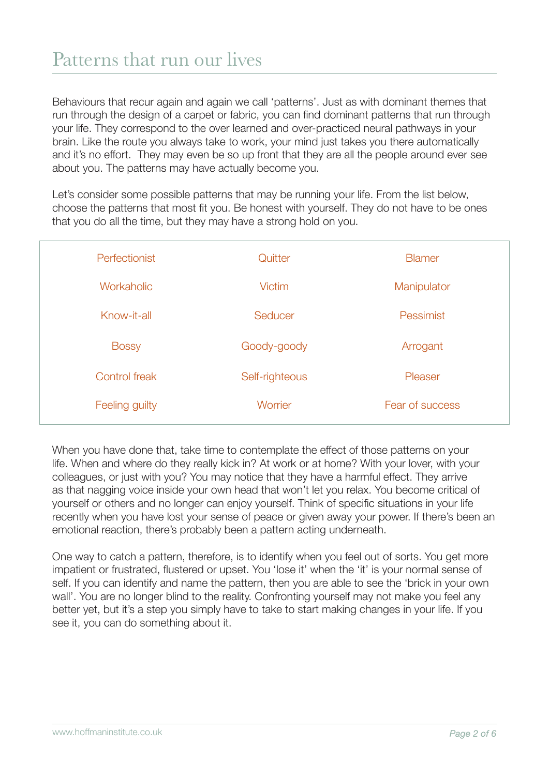Behaviours that recur again and again we call 'patterns'. Just as with dominant themes that run through the design of a carpet or fabric, you can find dominant patterns that run through your life. They correspond to the over learned and over-practiced neural pathways in your brain. Like the route you always take to work, your mind just takes you there automatically and it's no effort. They may even be so up front that they are all the people around ever see about you. The patterns may have actually become you.

Let's consider some possible patterns that may be running your life. From the list below, choose the patterns that most fit you. Be honest with yourself. They do not have to be ones that you do all the time, but they may have a strong hold on you.

| Perfectionist  | Quitter        | <b>Blamer</b>   |
|----------------|----------------|-----------------|
| Workaholic     | <b>Victim</b>  | Manipulator     |
| Know-it-all    | Seducer        | Pessimist       |
| <b>Bossy</b>   | Goody-goody    | Arrogant        |
| Control freak  | Self-righteous | Pleaser         |
| Feeling guilty | Worrier        | Fear of success |

When you have done that, take time to contemplate the effect of those patterns on your life. When and where do they really kick in? At work or at home? With your lover, with your colleagues, or just with you? You may notice that they have a harmful effect. They arrive as that nagging voice inside your own head that won't let you relax. You become critical of yourself or others and no longer can enjoy yourself. Think of specific situations in your life recently when you have lost your sense of peace or given away your power. If there's been an emotional reaction, there's probably been a pattern acting underneath.

One way to catch a pattern, therefore, is to identify when you feel out of sorts. You get more impatient or frustrated, flustered or upset. You 'lose it' when the 'it' is your normal sense of self. If you can identify and name the pattern, then you are able to see the 'brick in your own wall'. You are no longer blind to the reality. Confronting yourself may not make you feel any better yet, but it's a step you simply have to take to start making changes in your life. If you see it, you can do something about it.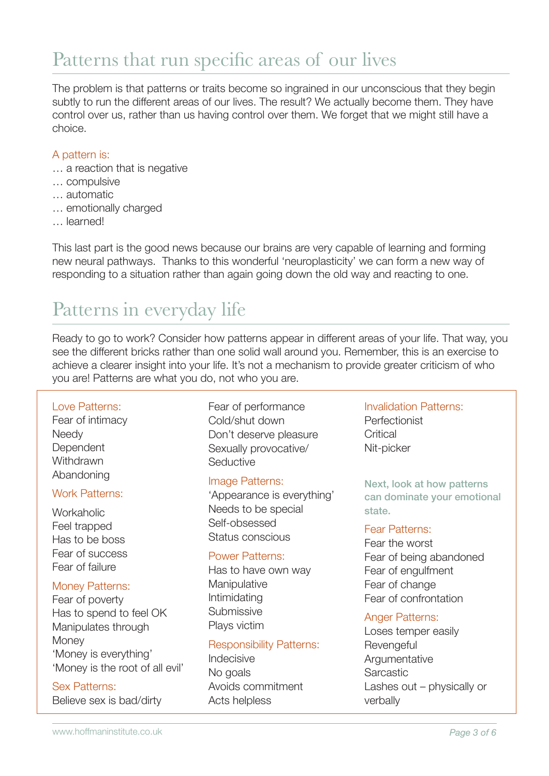## Patterns that run specific areas of our lives

The problem is that patterns or traits become so ingrained in our unconscious that they begin subtly to run the different areas of our lives. The result? We actually become them. They have control over us, rather than us having control over them. We forget that we might still have a choice.

#### A pattern is:

- … a reaction that is negative
- … compulsive
- … automatic
- … emotionally charged
- … learned!

This last part is the good news because our brains are very capable of learning and forming new neural pathways. Thanks to this wonderful 'neuroplasticity' we can form a new way of responding to a situation rather than again going down the old way and reacting to one.

## Patterns in everyday life

Ready to go to work? Consider how patterns appear in different areas of your life. That way, you see the different bricks rather than one solid wall around you. Remember, this is an exercise to achieve a clearer insight into your life. It's not a mechanism to provide greater criticism of who you are! Patterns are what you do, not who you are.

#### Love Patterns:

Fear of intimacy **Needv Dependent Withdrawn** Abandoning

#### Work Patterns:

**Workaholic** Feel trapped Has to be boss Fear of success Fear of failure

#### Money Patterns:

Fear of poverty Has to spend to feel OK Manipulates through **Money** 'Money is everything' 'Money is the root of all evil'

#### Sex Patterns:

Believe sex is bad/dirty

Fear of performance Cold/shut down Don't deserve pleasure Sexually provocative/ **Seductive** 

#### Image Patterns:

'Appearance is everything' Needs to be special Self-obsessed Status conscious

#### Power Patterns:

Has to have own way **Manipulative** Intimidating **Submissive** Plays victim

#### Responsibility Patterns:

Indecisive No goals Avoids commitment Acts helpless

Invalidation Patterns: Perfectionist **Critical** Nit-picker

Next, look at how patterns can dominate your emotional state.

#### Fear Patterns:

Fear the worst Fear of being abandoned Fear of engulfment Fear of change Fear of confrontation

#### Anger Patterns:

Loses temper easily **Revengeful Argumentative Sarcastic** Lashes out – physically or verbally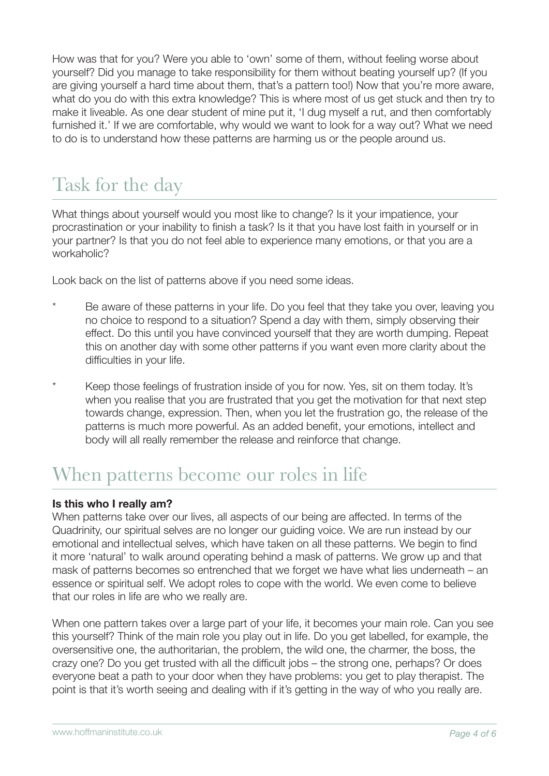How was that for you? Were you able to 'own' some of them, without feeling worse about yourself? Did you manage to take responsibility for them without beating yourself up? (If you are giving yourself a hard time about them, that's a pattern too!) Now that you're more aware, what do you do with this extra knowledge? This is where most of us get stuck and then try to make it liveable. As one dear student of mine put it, 'I dug myself a rut, and then comfortably furnished it.' If we are comfortable, why would we want to look for a way out? What we need to do is to understand how these patterns are harming us or the people around us.

# Task for the day

What things about yourself would you most like to change? Is it your impatience, your procrastination or your inability to finish a task? Is it that you have lost faith in yourself or in your partner? Is that you do not feel able to experience many emotions, or that you are a workaholic?

Look back on the list of patterns above if you need some ideas.

- Be aware of these patterns in your life. Do you feel that they take you over, leaving you no choice to respond to a situation? Spend a day with them, simply observing their effect. Do this until you have convinced yourself that they are worth dumping. Repeat this on another day with some other patterns if you want even more clarity about the difficulties in your life.
- \* Keep those feelings of frustration inside of you for now. Yes, sit on them today. It's when you realise that you are frustrated that you get the motivation for that next step towards change, expression. Then, when you let the frustration go, the release of the patterns is much more powerful. As an added benefit, your emotions, intellect and body will all really remember the release and reinforce that change.

### When patterns become our roles in life

#### **Is this who I really am?**

When patterns take over our lives, all aspects of our being are affected. In terms of the Quadrinity, our spiritual selves are no longer our guiding voice. We are run instead by our emotional and intellectual selves, which have taken on all these patterns. We begin to find it more 'natural' to walk around operating behind a mask of patterns. We grow up and that mask of patterns becomes so entrenched that we forget we have what lies underneath – an essence or spiritual self. We adopt roles to cope with the world. We even come to believe that our roles in life are who we really are.

When one pattern takes over a large part of your life, it becomes your main role. Can you see this yourself? Think of the main role you play out in life. Do you get labelled, for example, the oversensitive one, the authoritarian, the problem, the wild one, the charmer, the boss, the crazy one? Do you get trusted with all the difficult jobs – the strong one, perhaps? Or does everyone beat a path to your door when they have problems: you get to play therapist. The point is that it's worth seeing and dealing with if it's getting in the way of who you really are.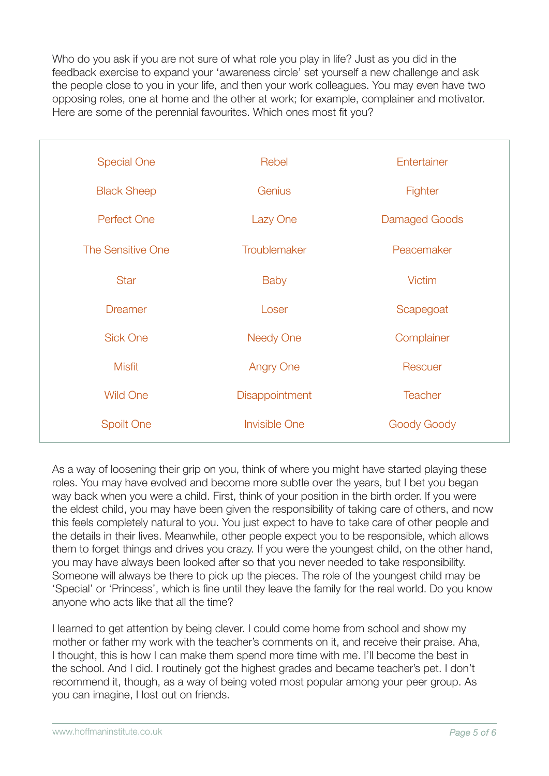Who do you ask if you are not sure of what role you play in life? Just as you did in the feedback exercise to expand your 'awareness circle' set yourself a new challenge and ask the people close to you in your life, and then your work colleagues. You may even have two opposing roles, one at home and the other at work; for example, complainer and motivator. Here are some of the perennial favourites. Which ones most fit you?

| <b>Special One</b> | Rebel                | Entertainer    |
|--------------------|----------------------|----------------|
| <b>Black Sheep</b> | Genius               | Fighter        |
| <b>Perfect One</b> | Lazy One             | Damaged Goods  |
| The Sensitive One  | Troublemaker         | Peacemaker     |
| <b>Star</b>        | <b>Baby</b>          | <b>Victim</b>  |
| <b>Dreamer</b>     | Loser                | Scapegoat      |
| <b>Sick One</b>    | <b>Needy One</b>     | Complainer     |
| <b>Misfit</b>      | <b>Angry One</b>     | Rescuer        |
| <b>Wild One</b>    | Disappointment       | <b>Teacher</b> |
| <b>Spoilt One</b>  | <b>Invisible One</b> | Goody Goody    |

As a way of loosening their grip on you, think of where you might have started playing these roles. You may have evolved and become more subtle over the years, but I bet you began way back when you were a child. First, think of your position in the birth order. If you were the eldest child, you may have been given the responsibility of taking care of others, and now this feels completely natural to you. You just expect to have to take care of other people and the details in their lives. Meanwhile, other people expect you to be responsible, which allows them to forget things and drives you crazy. If you were the youngest child, on the other hand, you may have always been looked after so that you never needed to take responsibility. Someone will always be there to pick up the pieces. The role of the youngest child may be 'Special' or 'Princess', which is fine until they leave the family for the real world. Do you know anyone who acts like that all the time?

I learned to get attention by being clever. I could come home from school and show my mother or father my work with the teacher's comments on it, and receive their praise. Aha, I thought, this is how I can make them spend more time with me. I'll become the best in the school. And I did. I routinely got the highest grades and became teacher's pet. I don't recommend it, though, as a way of being voted most popular among your peer group. As you can imagine, I lost out on friends.